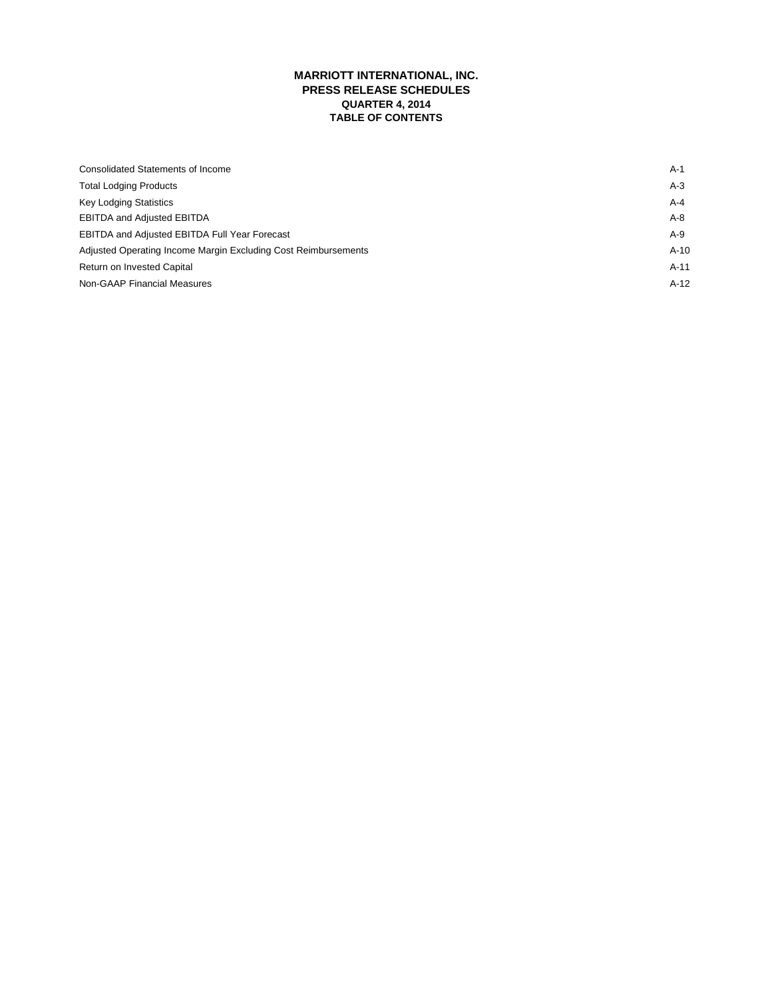# **MARRIOTT INTERNATIONAL, INC. PRESS RELEASE SCHEDULES QUARTER 4, 2014 TABLE OF CONTENTS**

| Consolidated Statements of Income                              | A-1     |
|----------------------------------------------------------------|---------|
| <b>Total Lodging Products</b>                                  | $A-3$   |
| <b>Key Lodging Statistics</b>                                  | $A - 4$ |
| <b>EBITDA and Adjusted EBITDA</b>                              | $A-8$   |
| <b>EBITDA and Adjusted EBITDA Full Year Forecast</b>           | $A-9$   |
| Adjusted Operating Income Margin Excluding Cost Reimbursements | $A-10$  |
| Return on Invested Capital                                     | $A-11$  |
| Non-GAAP Financial Measures                                    | $A-12$  |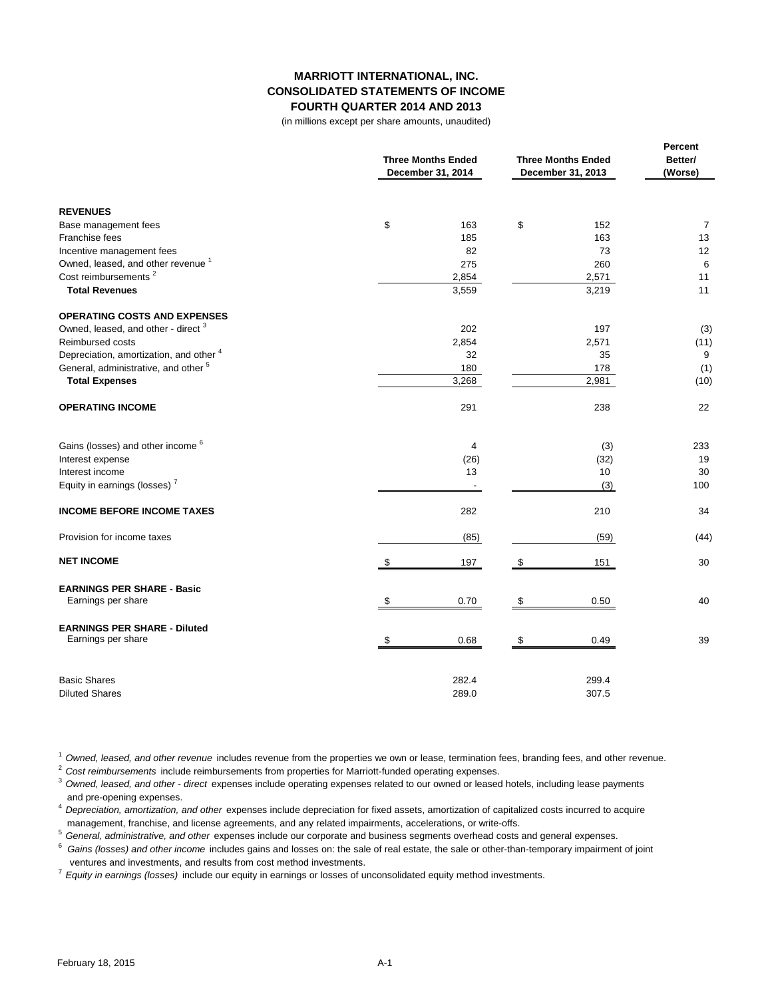## **MARRIOTT INTERNATIONAL, INC. CONSOLIDATED STATEMENTS OF INCOME FOURTH QUARTER 2014 AND 2013**

(in millions except per share amounts, unaudited)

|                                                           | <b>Three Months Ended</b><br>December 31, 2014 | <b>Three Months Ended</b><br>December 31, 2013 |                |  |
|-----------------------------------------------------------|------------------------------------------------|------------------------------------------------|----------------|--|
| <b>REVENUES</b>                                           |                                                |                                                |                |  |
| Base management fees                                      | \$<br>163                                      | \$<br>152                                      | $\overline{7}$ |  |
| Franchise fees                                            | 185                                            | 163                                            | 13             |  |
| Incentive management fees                                 | 82                                             | 73                                             | 12             |  |
| Owned, leased, and other revenue <sup>1</sup>             | 275                                            | 260                                            | 6              |  |
| Cost reimbursements <sup>2</sup>                          | 2,854                                          | 2,571                                          | 11             |  |
| <b>Total Revenues</b>                                     | 3,559                                          | 3,219                                          | 11             |  |
| <b>OPERATING COSTS AND EXPENSES</b>                       |                                                |                                                |                |  |
| Owned, leased, and other - direct <sup>3</sup>            | 202                                            | 197                                            | (3)            |  |
| <b>Reimbursed costs</b>                                   | 2,854                                          | 2,571                                          | (11)           |  |
| Depreciation, amortization, and other 4                   | 32                                             | 35                                             | 9              |  |
| General, administrative, and other <sup>5</sup>           | 180                                            | 178                                            | (1)            |  |
| <b>Total Expenses</b>                                     | 3,268                                          | 2,981                                          | (10)           |  |
| <b>OPERATING INCOME</b>                                   | 291                                            | 238                                            | 22             |  |
| Gains (losses) and other income 6                         | 4                                              | (3)                                            | 233            |  |
| Interest expense                                          | (26)                                           | (32)                                           | 19             |  |
| Interest income                                           | 13                                             | 10                                             | 30             |  |
| Equity in earnings (losses) <sup>7</sup>                  |                                                | (3)                                            | 100            |  |
| <b>INCOME BEFORE INCOME TAXES</b>                         | 282                                            | 210                                            | 34             |  |
| Provision for income taxes                                | (85)                                           | (59)                                           | (44)           |  |
| <b>NET INCOME</b>                                         | 197<br>\$                                      | \$<br>151                                      | 30             |  |
| <b>EARNINGS PER SHARE - Basic</b><br>Earnings per share   | 0.70<br>\$                                     | \$<br>0.50                                     | 40             |  |
|                                                           |                                                |                                                |                |  |
| <b>EARNINGS PER SHARE - Diluted</b><br>Earnings per share | 0.68<br>\$                                     | \$<br>0.49                                     | 39             |  |
| <b>Basic Shares</b>                                       | 282.4                                          | 299.4                                          |                |  |
| <b>Diluted Shares</b>                                     | 289.0                                          | 307.5                                          |                |  |

<sup>1</sup>*Owned, leased, and other revenue* includes revenue from the properties we own or lease, termination fees, branding fees, and other revenue.

<sup>2</sup>*Cost reimbursements* include reimbursements from properties for Marriott-funded operating expenses.

<sup>3</sup>*Owned, leased, and other - direct* expenses include operating expenses related to our owned or leased hotels, including lease payments and pre-opening expenses.

<sup>4</sup>*Depreciation, amortization, and other* expenses include depreciation for fixed assets, amortization of capitalized costs incurred to acquire management, franchise, and license agreements, and any related impairments, accelerations, or write-offs.

<sup>5</sup>*General, administrative, and other* expenses include our corporate and business segments overhead costs and general expenses.

6 *Gains (losses) and other income* includes gains and losses on: the sale of real estate, the sale or other-than-temporary impairment of joint ventures and investments, and results from cost method investments.

<sup>7</sup>*Equity in earnings (losses)* include our equity in earnings or losses of unconsolidated equity method investments.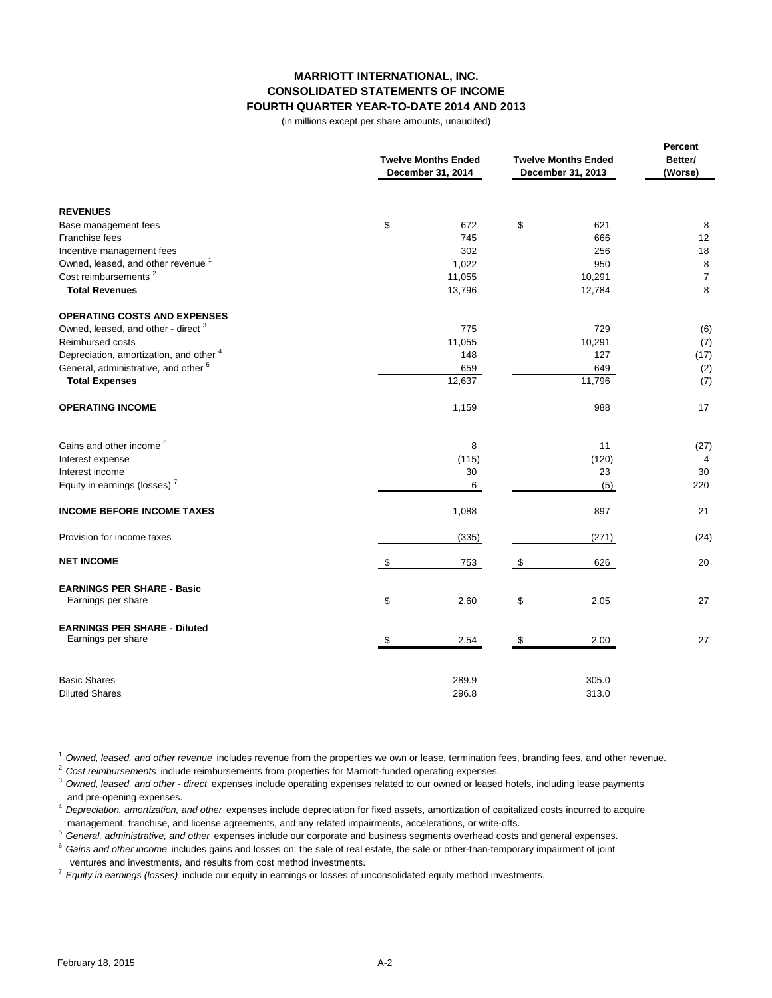# **MARRIOTT INTERNATIONAL, INC. CONSOLIDATED STATEMENTS OF INCOME FOURTH QUARTER YEAR-TO-DATE 2014 AND 2013**

(in millions except per share amounts, unaudited)

|                                                         | <b>Twelve Months Ended</b><br>December 31, 2014 | <b>Twelve Months Ended</b><br>December 31, 2013 | Percent<br>Better/<br>(Worse) |
|---------------------------------------------------------|-------------------------------------------------|-------------------------------------------------|-------------------------------|
| <b>REVENUES</b>                                         |                                                 |                                                 |                               |
| Base management fees                                    | \$<br>672                                       | \$<br>621                                       | 8                             |
| Franchise fees                                          | 745                                             | 666                                             | 12                            |
| Incentive management fees                               | 302                                             | 256                                             | 18                            |
| Owned, leased, and other revenue <sup>1</sup>           | 1,022                                           | 950                                             | 8                             |
| Cost reimbursements <sup>2</sup>                        | 11,055                                          | 10,291                                          | $\overline{7}$                |
| <b>Total Revenues</b>                                   | 13,796                                          | 12,784                                          | 8                             |
| <b>OPERATING COSTS AND EXPENSES</b>                     |                                                 |                                                 |                               |
| Owned, leased, and other - direct <sup>3</sup>          | 775                                             | 729                                             | (6)                           |
| <b>Reimbursed costs</b>                                 | 11,055                                          | 10,291                                          | (7)                           |
| Depreciation, amortization, and other 4                 | 148                                             | 127                                             | (17)                          |
| General, administrative, and other <sup>5</sup>         | 659                                             | 649                                             | (2)                           |
| <b>Total Expenses</b>                                   | 12,637                                          | 11,796                                          | (7)                           |
| <b>OPERATING INCOME</b>                                 | 1,159                                           | 988                                             | 17                            |
| Gains and other income <sup>6</sup>                     | 8                                               | 11                                              | (27)                          |
| Interest expense                                        | (115)                                           | (120)                                           | 4                             |
| Interest income                                         | 30                                              | 23                                              | 30                            |
| Equity in earnings (losses) <sup>7</sup>                | 6                                               | (5)                                             | 220                           |
| <b>INCOME BEFORE INCOME TAXES</b>                       | 1,088                                           | 897                                             | 21                            |
| Provision for income taxes                              | (335)                                           | (271)                                           | (24)                          |
| <b>NET INCOME</b>                                       | \$<br>753                                       | \$<br>626                                       | 20                            |
| <b>EARNINGS PER SHARE - Basic</b><br>Earnings per share | \$<br>2.60                                      | 2.05<br>\$                                      | 27                            |
| <b>EARNINGS PER SHARE - Diluted</b>                     |                                                 |                                                 |                               |
| Earnings per share                                      | 2.54<br>S                                       | 2.00<br>-\$                                     | 27                            |
| <b>Basic Shares</b>                                     | 289.9                                           | 305.0                                           |                               |
| <b>Diluted Shares</b>                                   | 296.8                                           | 313.0                                           |                               |

<sup>1</sup>*Owned, leased, and other revenue* includes revenue from the properties we own or lease, termination fees, branding fees, and other revenue.

<sup>2</sup>*Cost reimbursements* include reimbursements from properties for Marriott-funded operating expenses.

<sup>3</sup>*Owned, leased, and other - direct* expenses include operating expenses related to our owned or leased hotels, including lease payments and pre-opening expenses.

<sup>4</sup>*Depreciation, amortization, and other* expenses include depreciation for fixed assets, amortization of capitalized costs incurred to acquire management, franchise, and license agreements, and any related impairments, accelerations, or write-offs.

<sup>5</sup>*General, administrative, and other* expenses include our corporate and business segments overhead costs and general expenses.

<sup>6</sup>*Gains and other income* includes gains and losses on: the sale of real estate, the sale or other-than-temporary impairment of joint ventures and investments, and results from cost method investments.

<sup>7</sup>*Equity in earnings (losses)* include our equity in earnings or losses of unconsolidated equity method investments.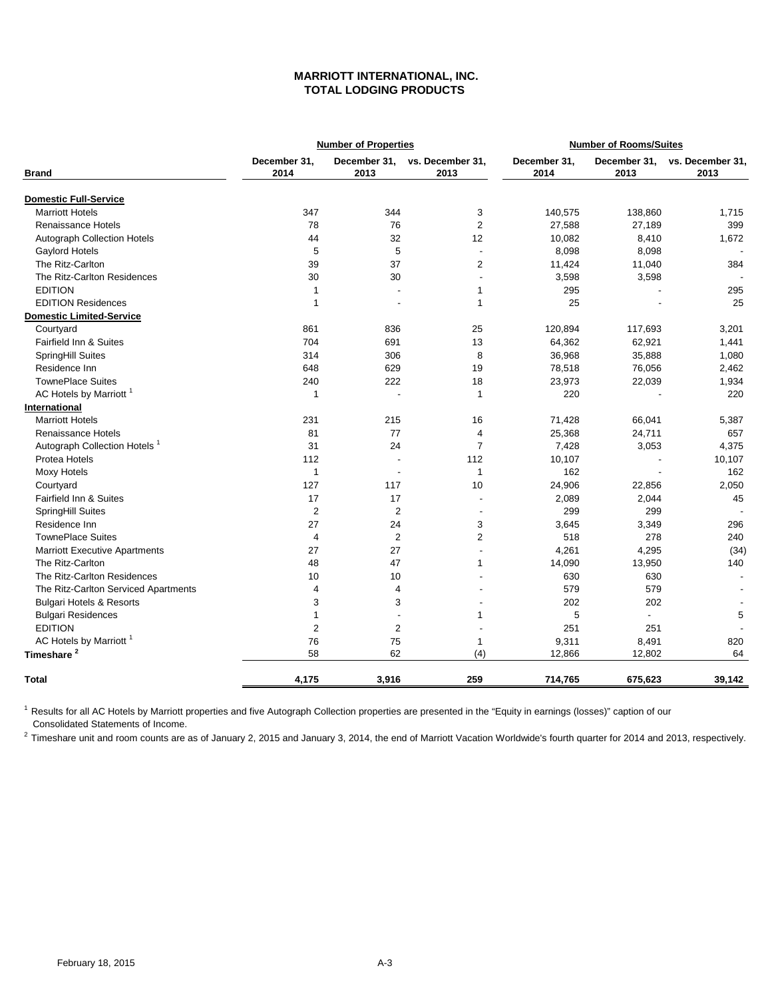# **MARRIOTT INTERNATIONAL, INC. TOTAL LODGING PRODUCTS**

|                                          |                      | <b>Number of Properties</b> |                          |                      | <b>Number of Rooms/Suites</b> |                          |
|------------------------------------------|----------------------|-----------------------------|--------------------------|----------------------|-------------------------------|--------------------------|
| <b>Brand</b>                             | December 31,<br>2014 | December 31.<br>2013        | vs. December 31,<br>2013 | December 31,<br>2014 | December 31,<br>2013          | vs. December 31,<br>2013 |
| <b>Domestic Full-Service</b>             |                      |                             |                          |                      |                               |                          |
| <b>Marriott Hotels</b>                   | 347                  | 344                         | 3                        | 140,575              | 138,860                       | 1,715                    |
| <b>Renaissance Hotels</b>                | 78                   | 76                          | $\overline{2}$           | 27,588               | 27,189                        | 399                      |
| <b>Autograph Collection Hotels</b>       | 44                   | 32                          | 12                       | 10,082               | 8,410                         | 1,672                    |
| Gaylord Hotels                           | 5                    | 5                           | $\overline{a}$           | 8,098                | 8,098                         |                          |
| The Ritz-Carlton                         | 39                   | 37                          | $\overline{2}$           | 11,424               | 11,040                        | 384                      |
| The Ritz-Carlton Residences              | 30                   | 30                          | L.                       | 3,598                | 3,598                         |                          |
| <b>EDITION</b>                           | $\mathbf{1}$         |                             | $\mathbf{1}$             | 295                  |                               | 295                      |
| <b>EDITION Residences</b>                | $\overline{1}$       |                             | $\mathbf{1}$             | 25                   |                               | 25                       |
| <b>Domestic Limited-Service</b>          |                      |                             |                          |                      |                               |                          |
| Courtyard                                | 861                  | 836                         | 25                       | 120,894              | 117,693                       | 3,201                    |
| Fairfield Inn & Suites                   | 704                  | 691                         | 13                       | 64,362               | 62,921                        | 1,441                    |
| SpringHill Suites                        | 314                  | 306                         | 8                        | 36,968               | 35,888                        | 1,080                    |
| Residence Inn                            | 648                  | 629                         | 19                       | 78,518               | 76,056                        | 2,462                    |
| <b>TownePlace Suites</b>                 | 240                  | 222                         | 18                       | 23,973               | 22,039                        | 1,934                    |
| AC Hotels by Marriott <sup>1</sup>       | $\mathbf{1}$         |                             | $\mathbf{1}$             | 220                  |                               | 220                      |
| International                            |                      |                             |                          |                      |                               |                          |
| <b>Marriott Hotels</b>                   | 231                  | 215                         | 16                       | 71,428               | 66,041                        | 5,387                    |
| <b>Renaissance Hotels</b>                | 81                   | 77                          | 4                        | 25,368               | 24,711                        | 657                      |
| Autograph Collection Hotels <sup>1</sup> | 31                   | 24                          | $\overline{7}$           | 7,428                | 3,053                         | 4,375                    |
| Protea Hotels                            | 112                  |                             | 112                      | 10,107               |                               | 10,107                   |
| <b>Moxy Hotels</b>                       | $\mathbf{1}$         |                             | $\mathbf{1}$             | 162                  |                               | 162                      |
| Courtyard                                | 127                  | 117                         | 10                       | 24,906               | 22,856                        | 2,050                    |
| Fairfield Inn & Suites                   | 17                   | 17                          | ÷,                       | 2,089                | 2,044                         | 45                       |
| SpringHill Suites                        | $\overline{2}$       | $\overline{2}$              | $\overline{a}$           | 299                  | 299                           |                          |
| Residence Inn                            | 27                   | 24                          | 3                        | 3,645                | 3,349                         | 296                      |
| <b>TownePlace Suites</b>                 | $\overline{4}$       | $\overline{2}$              | $\overline{2}$           | 518                  | 278                           | 240                      |
| <b>Marriott Executive Apartments</b>     | 27                   | 27                          |                          | 4,261                | 4,295                         | (34)                     |
| The Ritz-Carlton                         | 48                   | 47                          | $\mathbf{1}$             | 14,090               | 13,950                        | 140                      |
| The Ritz-Carlton Residences              | 10                   | 10                          |                          | 630                  | 630                           |                          |
| The Ritz-Carlton Serviced Apartments     | 4                    | 4                           |                          | 579                  | 579                           |                          |
| <b>Bulgari Hotels &amp; Resorts</b>      | 3                    | 3                           |                          | 202                  | 202                           |                          |
| <b>Bulgari Residences</b>                | $\mathbf{1}$         |                             | 1                        | 5                    | $\blacksquare$                | 5                        |
| <b>EDITION</b>                           | $\overline{2}$       | $\overline{2}$              |                          | 251                  | 251                           |                          |
| AC Hotels by Marriott <sup>1</sup>       | 76                   | 75                          | $\mathbf{1}$             | 9,311                | 8,491                         | 820                      |
| Timeshare <sup>2</sup>                   | 58                   | 62                          | (4)                      | 12,866               | 12,802                        | 64                       |
| <b>Total</b>                             | 4,175                | 3,916                       | 259                      | 714,765              | 675,623                       | 39,142                   |

 Consolidated Statements of Income.  $^1$  Results for all AC Hotels by Marriott properties and five Autograph Collection properties are presented in the "Equity in earnings (losses)" caption of our

<sup>2</sup> Timeshare unit and room counts are as of January 2, 2015 and January 3, 2014, the end of Marriott Vacation Worldwide's fourth quarter for 2014 and 2013, respectively.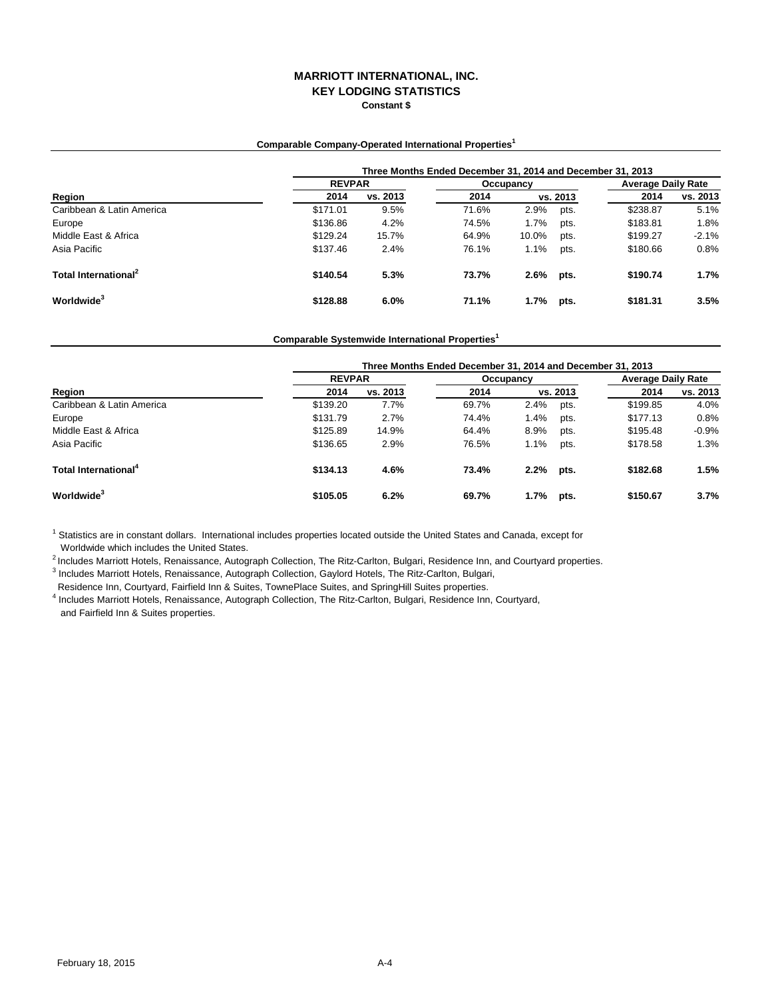## **MARRIOTT INTERNATIONAL, INC. KEY LODGING STATISTICS Constant \$**

## **Comparable Company-Operated International Properties<sup>1</sup>**

|                                  | Three Months Ended December 31, 2014 and December 31, 2013 |               |       |           |          |                           |          |  |  |
|----------------------------------|------------------------------------------------------------|---------------|-------|-----------|----------|---------------------------|----------|--|--|
| Region                           |                                                            | <b>REVPAR</b> |       | Occupancy |          | <b>Average Daily Rate</b> |          |  |  |
|                                  | 2014                                                       | vs. 2013      | 2014  |           | vs. 2013 | 2014                      | vs. 2013 |  |  |
| Caribbean & Latin America        | \$171.01                                                   | 9.5%          | 71.6% | 2.9%      | pts.     | \$238.87                  | 5.1%     |  |  |
| Europe                           | \$136.86                                                   | 4.2%          | 74.5% | 1.7%      | pts.     | \$183.81                  | 1.8%     |  |  |
| Middle East & Africa             | \$129.24                                                   | 15.7%         | 64.9% | 10.0%     | pts.     | \$199.27                  | $-2.1%$  |  |  |
| Asia Pacific                     | \$137.46                                                   | 2.4%          | 76.1% | 1.1%      | pts.     | \$180.66                  | 0.8%     |  |  |
| Total International <sup>2</sup> | \$140.54                                                   | 5.3%          | 73.7% | 2.6%      | pts.     | \$190.74                  | 1.7%     |  |  |
| Worldwide <sup>3</sup>           | \$128.88                                                   | 6.0%          | 71.1% | 1.7%      | pts.     | \$181.31                  | 3.5%     |  |  |

### **Comparable Systemwide International Properties<sup>1</sup>**

|                                  | Three Months Ended December 31, 2014 and December 31, 2013 |               |       |           |          |          |                           |  |
|----------------------------------|------------------------------------------------------------|---------------|-------|-----------|----------|----------|---------------------------|--|
|                                  |                                                            | <b>REVPAR</b> |       | Occupancy |          |          | <b>Average Daily Rate</b> |  |
| Region                           | 2014                                                       | vs. 2013      | 2014  |           | vs. 2013 | 2014     | vs. 2013                  |  |
| Caribbean & Latin America        | \$139.20                                                   | 7.7%          | 69.7% | 2.4%      | pts.     | \$199.85 | 4.0%                      |  |
| Europe                           | \$131.79                                                   | 2.7%          | 74.4% | 1.4%      | pts.     | \$177.13 | 0.8%                      |  |
| Middle East & Africa             | \$125.89                                                   | 14.9%         | 64.4% | 8.9%      | pts.     | \$195.48 | $-0.9%$                   |  |
| Asia Pacific                     | \$136.65                                                   | 2.9%          | 76.5% | 1.1%      | pts.     | \$178.58 | 1.3%                      |  |
| Total International <sup>4</sup> | \$134.13                                                   | 4.6%          | 73.4% | $2.2\%$   | pts.     | \$182.68 | 1.5%                      |  |
| Worldwide <sup>3</sup>           | \$105.05                                                   | 6.2%          | 69.7% | $1.7\%$   | pts.     | \$150.67 | 3.7%                      |  |

<sup>1</sup> Statistics are in constant dollars. International includes properties located outside the United States and Canada, except for Worldwide which includes the United States.

2 Includes Marriott Hotels, Renaissance, Autograph Collection, The Ritz-Carlton, Bulgari, Residence Inn, and Courtyard properties.

<sup>3</sup> Includes Marriott Hotels, Renaissance, Autograph Collection, Gaylord Hotels, The Ritz-Carlton, Bulgari,

Residence Inn, Courtyard, Fairfield Inn & Suites, TownePlace Suites, and SpringHill Suites properties.

4 Includes Marriott Hotels, Renaissance, Autograph Collection, The Ritz-Carlton, Bulgari, Residence Inn, Courtyard, and Fairfield Inn & Suites properties.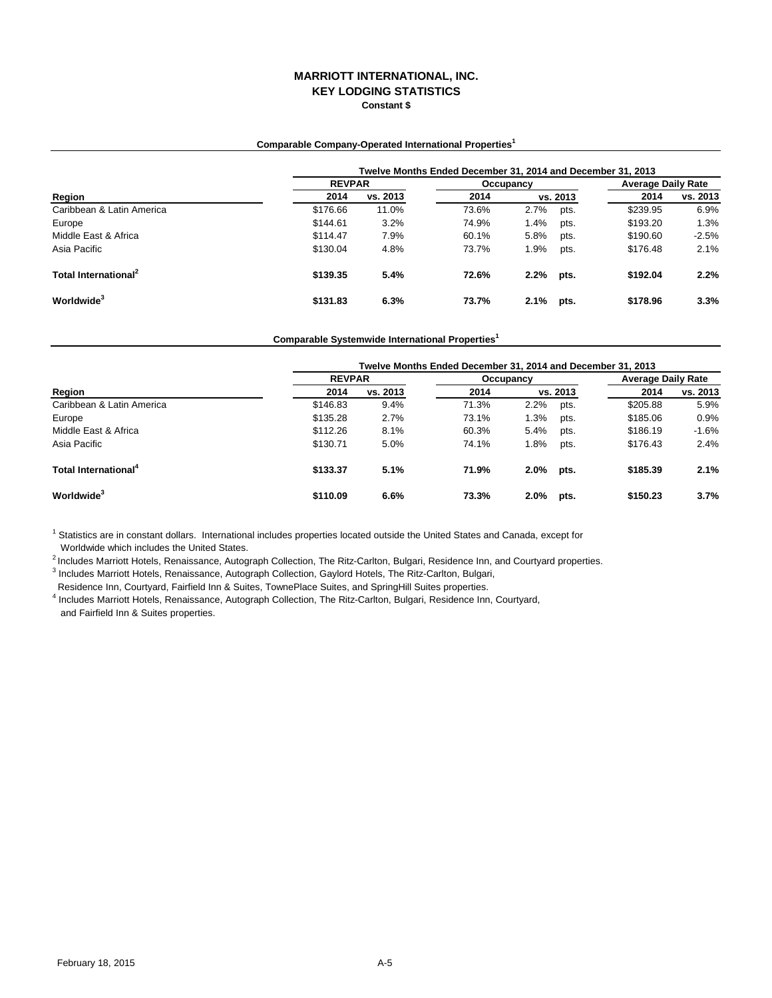### **MARRIOTT INTERNATIONAL, INC. KEY LODGING STATISTICS Constant \$**

## **Comparable Company-Operated International Properties<sup>1</sup>**

|                                  |          | Twelve Months Ended December 31, 2014 and December 31, 2013 |       |           |          |                           |          |  |  |  |
|----------------------------------|----------|-------------------------------------------------------------|-------|-----------|----------|---------------------------|----------|--|--|--|
| Region                           |          | <b>REVPAR</b>                                               |       | Occupancy |          | <b>Average Daily Rate</b> |          |  |  |  |
|                                  | 2014     | vs. 2013                                                    | 2014  |           | vs. 2013 | 2014                      | vs. 2013 |  |  |  |
| Caribbean & Latin America        | \$176.66 | 11.0%                                                       | 73.6% | 2.7%      | pts.     | \$239.95                  | 6.9%     |  |  |  |
| Europe                           | \$144.61 | 3.2%                                                        | 74.9% | 1.4%      | pts.     | \$193.20                  | 1.3%     |  |  |  |
| Middle East & Africa             | \$114.47 | 7.9%                                                        | 60.1% | 5.8%      | pts.     | \$190.60                  | $-2.5%$  |  |  |  |
| Asia Pacific                     | \$130.04 | 4.8%                                                        | 73.7% | 1.9%      | pts.     | \$176.48                  | 2.1%     |  |  |  |
| Total International <sup>2</sup> | \$139.35 | 5.4%                                                        | 72.6% | 2.2%      | pts.     | \$192.04                  | 2.2%     |  |  |  |
| Worldwide <sup>3</sup>           | \$131.83 | 6.3%                                                        | 73.7% | 2.1%      | pts.     | \$178.96                  | 3.3%     |  |  |  |

### **Comparable Systemwide International Properties<sup>1</sup>**

|                                  | Twelve Months Ended December 31, 2014 and December 31, 2013 |               |       |           |          |          |                           |  |  |
|----------------------------------|-------------------------------------------------------------|---------------|-------|-----------|----------|----------|---------------------------|--|--|
|                                  |                                                             | <b>REVPAR</b> |       | Occupancy |          |          | <b>Average Daily Rate</b> |  |  |
| Region                           | 2014                                                        | vs. 2013      | 2014  |           | vs. 2013 | 2014     | vs. 2013                  |  |  |
| Caribbean & Latin America        | \$146.83                                                    | 9.4%          | 71.3% | 2.2%      | pts.     | \$205.88 | 5.9%                      |  |  |
| Europe                           | \$135.28                                                    | 2.7%          | 73.1% | 1.3%      | pts.     | \$185.06 | 0.9%                      |  |  |
| Middle East & Africa             | \$112.26                                                    | 8.1%          | 60.3% | 5.4%      | pts.     | \$186.19 | $-1.6%$                   |  |  |
| Asia Pacific                     | \$130.71                                                    | 5.0%          | 74.1% | 1.8%      | pts.     | \$176.43 | 2.4%                      |  |  |
| Total International <sup>4</sup> | \$133.37                                                    | 5.1%          | 71.9% | $2.0\%$   | pts.     | \$185.39 | 2.1%                      |  |  |
| Worldwide <sup>3</sup>           | \$110.09                                                    | 6.6%          | 73.3% | $2.0\%$   | pts.     | \$150.23 | 3.7%                      |  |  |

<sup>1</sup> Statistics are in constant dollars. International includes properties located outside the United States and Canada, except for Worldwide which includes the United States.

2 Includes Marriott Hotels, Renaissance, Autograph Collection, The Ritz-Carlton, Bulgari, Residence Inn, and Courtyard properties.

<sup>3</sup> Includes Marriott Hotels, Renaissance, Autograph Collection, Gaylord Hotels, The Ritz-Carlton, Bulgari,

Residence Inn, Courtyard, Fairfield Inn & Suites, TownePlace Suites, and SpringHill Suites properties.

4 Includes Marriott Hotels, Renaissance, Autograph Collection, The Ritz-Carlton, Bulgari, Residence Inn, Courtyard, and Fairfield Inn & Suites properties.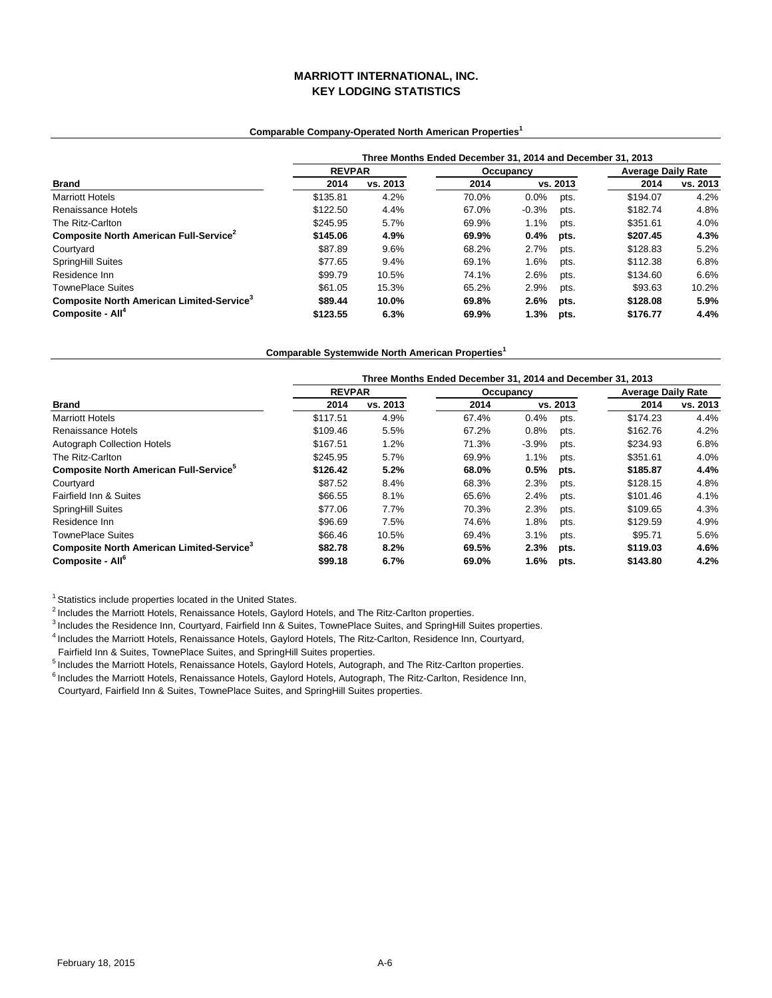# **MARRIOTT INTERNATIONAL, INC. KEY LODGING STATISTICS**

### **Comparable Company-Operated North American Properties<sup>1</sup>**

|                                                       | Three Months Ended December 31, 2014 and December 31, 2013 |          |       |           |          |          |                           |  |
|-------------------------------------------------------|------------------------------------------------------------|----------|-------|-----------|----------|----------|---------------------------|--|
|                                                       | <b>REVPAR</b>                                              |          |       | Occupancy |          |          | <b>Average Daily Rate</b> |  |
| <b>Brand</b>                                          | 2014                                                       | vs. 2013 | 2014  |           | vs. 2013 | 2014     | vs. 2013                  |  |
| <b>Marriott Hotels</b>                                | \$135.81                                                   | 4.2%     | 70.0% | $0.0\%$   | pts.     | \$194.07 | 4.2%                      |  |
| Renaissance Hotels                                    | \$122.50                                                   | 4.4%     | 67.0% | $-0.3%$   | pts.     | \$182.74 | 4.8%                      |  |
| The Ritz-Carlton                                      | \$245.95                                                   | 5.7%     | 69.9% | 1.1%      | pts.     | \$351.61 | 4.0%                      |  |
| Composite North American Full-Service <sup>2</sup>    | \$145.06                                                   | 4.9%     | 69.9% | 0.4%      | pts.     | \$207.45 | 4.3%                      |  |
| Courtyard                                             | \$87.89                                                    | 9.6%     | 68.2% | 2.7%      | pts.     | \$128.83 | 5.2%                      |  |
| SpringHill Suites                                     | \$77.65                                                    | 9.4%     | 69.1% | 1.6%      | pts.     | \$112.38 | 6.8%                      |  |
| Residence Inn                                         | \$99.79                                                    | 10.5%    | 74.1% | 2.6%      | pts.     | \$134.60 | 6.6%                      |  |
| <b>TownePlace Suites</b>                              | \$61.05                                                    | 15.3%    | 65.2% | 2.9%      | pts.     | \$93.63  | 10.2%                     |  |
| Composite North American Limited-Service <sup>3</sup> | \$89.44                                                    | 10.0%    | 69.8% | 2.6%      | pts.     | \$128.08 | 5.9%                      |  |
| Composite - All <sup>4</sup>                          | \$123.55                                                   | 6.3%     | 69.9% | 1.3%      | pts.     | \$176.77 | 4.4%                      |  |

**Comparable Systemwide North American Properties<sup>1</sup>**

|                                                       | Three Months Ended December 31, 2014 and December 31, 2013 |          |           |         |          |                           |          |  |
|-------------------------------------------------------|------------------------------------------------------------|----------|-----------|---------|----------|---------------------------|----------|--|
|                                                       | <b>REVPAR</b>                                              |          | Occupancy |         |          | <b>Average Daily Rate</b> |          |  |
| <b>Brand</b>                                          | 2014                                                       | vs. 2013 | 2014      |         | vs. 2013 | 2014                      | vs. 2013 |  |
| <b>Marriott Hotels</b>                                | \$117.51                                                   | 4.9%     | 67.4%     | 0.4%    | pts.     | \$174.23                  | 4.4%     |  |
| Renaissance Hotels                                    | \$109.46                                                   | 5.5%     | 67.2%     | 0.8%    | pts.     | \$162.76                  | 4.2%     |  |
| <b>Autograph Collection Hotels</b>                    | \$167.51                                                   | 1.2%     | 71.3%     | $-3.9%$ | pts.     | \$234.93                  | 6.8%     |  |
| The Ritz-Carlton                                      | \$245.95                                                   | 5.7%     | 69.9%     | 1.1%    | pts.     | \$351.61                  | 4.0%     |  |
| Composite North American Full-Service <sup>5</sup>    | \$126.42                                                   | 5.2%     | 68.0%     | 0.5%    | pts.     | \$185.87                  | 4.4%     |  |
| Courtyard                                             | \$87.52                                                    | 8.4%     | 68.3%     | 2.3%    | pts.     | \$128.15                  | 4.8%     |  |
| Fairfield Inn & Suites                                | \$66.55                                                    | 8.1%     | 65.6%     | 2.4%    | pts.     | \$101.46                  | 4.1%     |  |
| SpringHill Suites                                     | \$77.06                                                    | 7.7%     | 70.3%     | 2.3%    | pts.     | \$109.65                  | 4.3%     |  |
| Residence Inn                                         | \$96.69                                                    | 7.5%     | 74.6%     | 1.8%    | pts.     | \$129.59                  | 4.9%     |  |
| <b>TownePlace Suites</b>                              | \$66.46                                                    | 10.5%    | 69.4%     | 3.1%    | pts.     | \$95.71                   | 5.6%     |  |
| Composite North American Limited-Service <sup>3</sup> | \$82.78                                                    | 8.2%     | 69.5%     | 2.3%    | pts.     | \$119.03                  | 4.6%     |  |
| Composite - All <sup>6</sup>                          | \$99.18                                                    | 6.7%     | 69.0%     | 1.6%    | pts.     | \$143.80                  | 4.2%     |  |

<sup>1</sup> Statistics include properties located in the United States.

<sup>2</sup> Includes the Marriott Hotels, Renaissance Hotels, Gaylord Hotels, and The Ritz-Carlton properties.

<sup>3</sup> Includes the Residence Inn, Courtyard, Fairfield Inn & Suites, TownePlace Suites, and SpringHill Suites properties.

4 Includes the Marriott Hotels, Renaissance Hotels, Gaylord Hotels, The Ritz-Carlton, Residence Inn, Courtyard,

Fairfield Inn & Suites, TownePlace Suites, and SpringHill Suites properties.

5 Includes the Marriott Hotels, Renaissance Hotels, Gaylord Hotels, Autograph, and The Ritz-Carlton properties.

 $^6$  Includes the Marriott Hotels, Renaissance Hotels, Gaylord Hotels, Autograph, The Ritz-Carlton, Residence Inn,

Courtyard, Fairfield Inn & Suites, TownePlace Suites, and SpringHill Suites properties.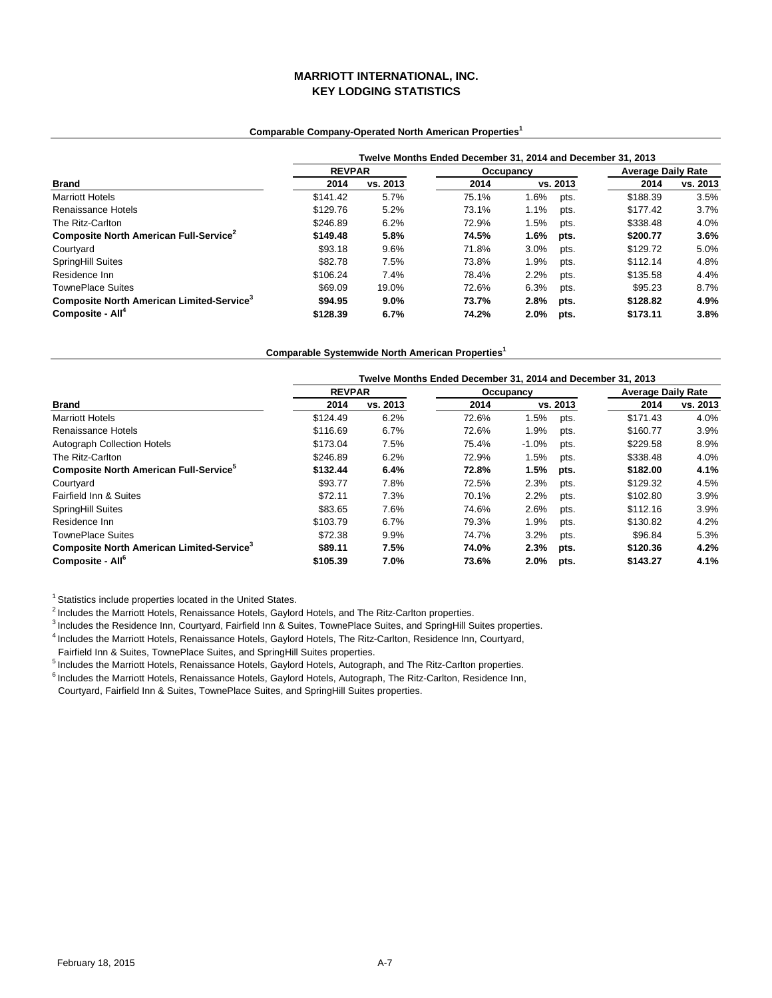# **MARRIOTT INTERNATIONAL, INC. KEY LODGING STATISTICS**

### **Comparable Company-Operated North American Properties<sup>1</sup>**

|                                                       | Twelve Months Ended December 31, 2014 and December 31, 2013 |          |           |      |          |                           |          |  |
|-------------------------------------------------------|-------------------------------------------------------------|----------|-----------|------|----------|---------------------------|----------|--|
|                                                       | <b>REVPAR</b>                                               |          | Occupancy |      |          | <b>Average Daily Rate</b> |          |  |
| <b>Brand</b>                                          | 2014                                                        | vs. 2013 | 2014      |      | vs. 2013 | 2014                      | vs. 2013 |  |
| <b>Marriott Hotels</b>                                | \$141.42                                                    | 5.7%     | 75.1%     | 1.6% | pts.     | \$188.39                  | 3.5%     |  |
| Renaissance Hotels                                    | \$129.76                                                    | 5.2%     | 73.1%     | 1.1% | pts.     | \$177.42                  | 3.7%     |  |
| The Ritz-Carlton                                      | \$246.89                                                    | 6.2%     | 72.9%     | 1.5% | pts.     | \$338.48                  | 4.0%     |  |
| Composite North American Full-Service <sup>2</sup>    | \$149.48                                                    | 5.8%     | 74.5%     | 1.6% | pts.     | \$200.77                  | 3.6%     |  |
| Courtyard                                             | \$93.18                                                     | 9.6%     | 71.8%     | 3.0% | pts.     | \$129.72                  | 5.0%     |  |
| <b>SpringHill Suites</b>                              | \$82.78                                                     | 7.5%     | 73.8%     | 1.9% | pts.     | \$112.14                  | 4.8%     |  |
| Residence Inn                                         | \$106.24                                                    | 7.4%     | 78.4%     | 2.2% | pts.     | \$135.58                  | 4.4%     |  |
| <b>TownePlace Suites</b>                              | \$69.09                                                     | 19.0%    | 72.6%     | 6.3% | pts.     | \$95.23                   | 8.7%     |  |
| Composite North American Limited-Service <sup>3</sup> | \$94.95                                                     | 9.0%     | 73.7%     | 2.8% | pts.     | \$128.82                  | 4.9%     |  |
| Composite - All <sup>4</sup>                          | \$128.39                                                    | 6.7%     | 74.2%     | 2.0% | pts.     | \$173.11                  | 3.8%     |  |

**Comparable Systemwide North American Properties<sup>1</sup>**

|                                                           | Twelve Months Ended December 31, 2014 and December 31, 2013 |          |           |         |          |                           |          |  |
|-----------------------------------------------------------|-------------------------------------------------------------|----------|-----------|---------|----------|---------------------------|----------|--|
|                                                           | <b>REVPAR</b>                                               |          | Occupancy |         |          | <b>Average Daily Rate</b> |          |  |
| <b>Brand</b>                                              | 2014                                                        | vs. 2013 | 2014      |         | vs. 2013 | 2014                      | vs. 2013 |  |
| <b>Marriott Hotels</b>                                    | \$124.49                                                    | 6.2%     | 72.6%     | 1.5%    | pts.     | \$171.43                  | 4.0%     |  |
| Renaissance Hotels                                        | \$116.69                                                    | 6.7%     | 72.6%     | 1.9%    | pts.     | \$160.77                  | 3.9%     |  |
| <b>Autograph Collection Hotels</b>                        | \$173.04                                                    | 7.5%     | 75.4%     | $-1.0%$ | pts.     | \$229.58                  | 8.9%     |  |
| The Ritz-Carlton                                          | \$246.89                                                    | 6.2%     | 72.9%     | 1.5%    | pts.     | \$338.48                  | 4.0%     |  |
| <b>Composite North American Full-Service</b> <sup>5</sup> | \$132.44                                                    | 6.4%     | 72.8%     | 1.5%    | pts.     | \$182.00                  | 4.1%     |  |
| Courtyard                                                 | \$93.77                                                     | 7.8%     | 72.5%     | 2.3%    | pts.     | \$129.32                  | 4.5%     |  |
| Fairfield Inn & Suites                                    | \$72.11                                                     | 7.3%     | 70.1%     | 2.2%    | pts.     | \$102.80                  | 3.9%     |  |
| SpringHill Suites                                         | \$83.65                                                     | 7.6%     | 74.6%     | 2.6%    | pts.     | \$112.16                  | 3.9%     |  |
| Residence Inn                                             | \$103.79                                                    | 6.7%     | 79.3%     | 1.9%    | pts.     | \$130.82                  | 4.2%     |  |
| <b>TownePlace Suites</b>                                  | \$72.38                                                     | 9.9%     | 74.7%     | 3.2%    | pts.     | \$96.84                   | 5.3%     |  |
| Composite North American Limited-Service <sup>3</sup>     | \$89.11                                                     | 7.5%     | 74.0%     | 2.3%    | pts.     | \$120.36                  | 4.2%     |  |
| Composite - All <sup>6</sup>                              | \$105.39                                                    | 7.0%     | 73.6%     | 2.0%    | pts.     | \$143.27                  | 4.1%     |  |

<sup>1</sup> Statistics include properties located in the United States.

<sup>2</sup> Includes the Marriott Hotels, Renaissance Hotels, Gaylord Hotels, and The Ritz-Carlton properties.

<sup>3</sup> Includes the Residence Inn, Courtyard, Fairfield Inn & Suites, TownePlace Suites, and SpringHill Suites properties.

4 Includes the Marriott Hotels, Renaissance Hotels, Gaylord Hotels, The Ritz-Carlton, Residence Inn, Courtyard,

Fairfield Inn & Suites, TownePlace Suites, and SpringHill Suites properties.

5 Includes the Marriott Hotels, Renaissance Hotels, Gaylord Hotels, Autograph, and The Ritz-Carlton properties.

 $^6$  Includes the Marriott Hotels, Renaissance Hotels, Gaylord Hotels, Autograph, The Ritz-Carlton, Residence Inn,

Courtyard, Fairfield Inn & Suites, TownePlace Suites, and SpringHill Suites properties.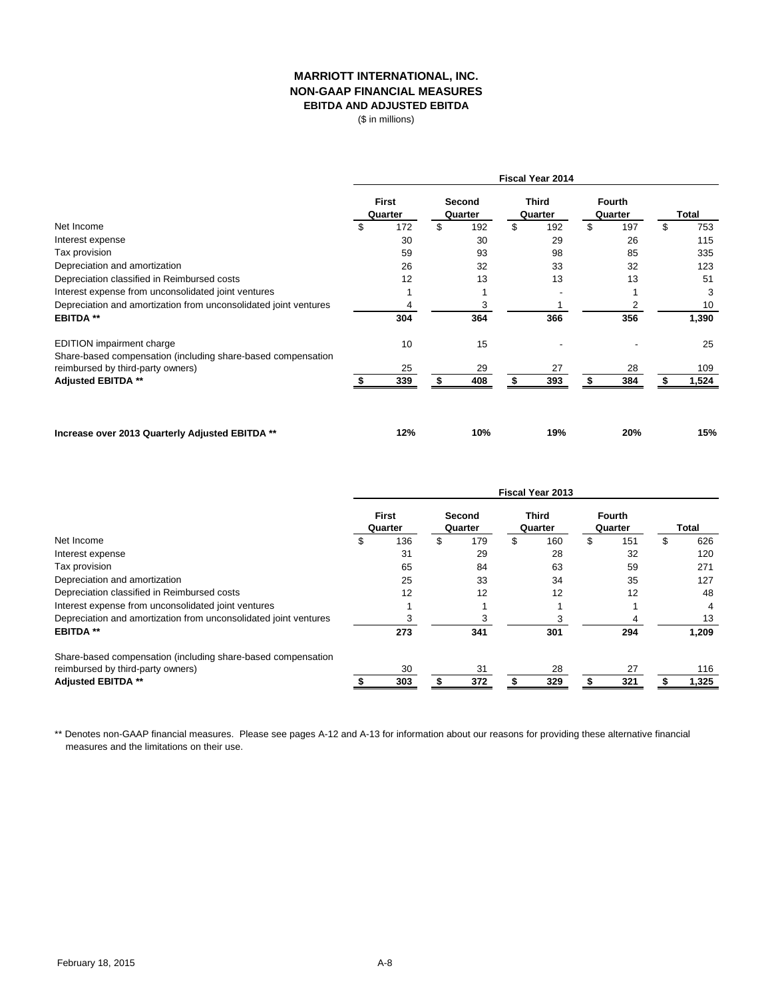# **MARRIOTT INTERNATIONAL, INC. NON-GAAP FINANCIAL MEASURES EBITDA AND ADJUSTED EBITDA**

(\$ in millions)

|                                                                                                  | Fiscal Year 2014 |                         |    |                   |    |                  |    |                          |    |       |
|--------------------------------------------------------------------------------------------------|------------------|-------------------------|----|-------------------|----|------------------|----|--------------------------|----|-------|
|                                                                                                  |                  | <b>First</b><br>Quarter |    | Second<br>Quarter |    | Third<br>Quarter |    | <b>Fourth</b><br>Quarter |    | Total |
| Net Income                                                                                       | \$               | 172                     | \$ | 192               | \$ | 192              | \$ | 197                      | \$ | 753   |
| Interest expense                                                                                 |                  | 30                      |    | 30                |    | 29               |    | 26                       |    | 115   |
| Tax provision                                                                                    |                  | 59                      |    | 93                |    | 98               |    | 85                       |    | 335   |
| Depreciation and amortization                                                                    |                  | 26                      |    | 32                |    | 33               |    | 32                       |    | 123   |
| Depreciation classified in Reimbursed costs                                                      |                  | 12                      |    | 13                |    | 13               |    | 13                       |    | 51    |
| Interest expense from unconsolidated joint ventures                                              |                  |                         |    |                   |    |                  |    |                          |    | 3     |
| Depreciation and amortization from unconsolidated joint ventures                                 |                  | 4                       |    | 3                 |    |                  |    |                          |    | 10    |
| <b>EBITDA **</b>                                                                                 |                  | 304                     |    | 364               |    | 366              |    | 356                      |    | 1,390 |
| <b>EDITION</b> impairment charge<br>Share-based compensation (including share-based compensation |                  | 10                      |    | 15                |    |                  |    |                          |    | 25    |
| reimbursed by third-party owners)                                                                |                  | 25                      |    | 29                |    | 27               |    | 28                       |    | 109   |
| Adjusted EBITDA **                                                                               |                  | 339                     |    | 408               |    | 393              |    | 384                      |    | 1,524 |
| Increase over 2013 Quarterly Adjusted EBITDA **                                                  |                  | 12%                     |    | 10%               |    | 19%              |    | 20%                      |    | 15%   |

|                                                                  | <b>Fiscal Year 2013</b> |                         |    |                   |    |                         |    |                          |   |              |  |
|------------------------------------------------------------------|-------------------------|-------------------------|----|-------------------|----|-------------------------|----|--------------------------|---|--------------|--|
|                                                                  |                         | <b>First</b><br>Quarter |    | Second<br>Quarter |    | <b>Third</b><br>Quarter |    | <b>Fourth</b><br>Quarter |   | <b>Total</b> |  |
| Net Income                                                       | \$                      | 136                     | \$ | 179               | \$ | 160                     | \$ | 151                      | S | 626          |  |
| Interest expense                                                 |                         | 31                      |    | 29                |    | 28                      |    | 32                       |   | 120          |  |
| Tax provision                                                    |                         | 65                      |    | 84                |    | 63                      |    | 59                       |   | 271          |  |
| Depreciation and amortization                                    |                         | 25                      |    | 33                |    | 34                      |    | 35                       |   | 127          |  |
| Depreciation classified in Reimbursed costs                      |                         | 12                      |    | 12                |    | 12                      |    | 12                       |   | 48           |  |
| Interest expense from unconsolidated joint ventures              |                         |                         |    |                   |    |                         |    |                          |   | 4            |  |
| Depreciation and amortization from unconsolidated joint ventures |                         |                         |    | З                 |    |                         |    |                          |   | 13           |  |
| <b>EBITDA**</b>                                                  |                         | 273                     |    | 341               |    | 301                     |    | 294                      |   | 1,209        |  |
| Share-based compensation (including share-based compensation     |                         |                         |    |                   |    |                         |    |                          |   |              |  |
| reimbursed by third-party owners)                                |                         | 30                      |    | 31                |    | 28                      |    | 27                       |   | 116          |  |
| <b>Adjusted EBITDA **</b>                                        |                         | 303                     |    | 372               |    | 329                     |    | 321                      |   | 1,325        |  |

\*\* Denotes non-GAAP financial measures. Please see pages A-12 and A-13 for information about our reasons for providing these alternative financial measures and the limitations on their use.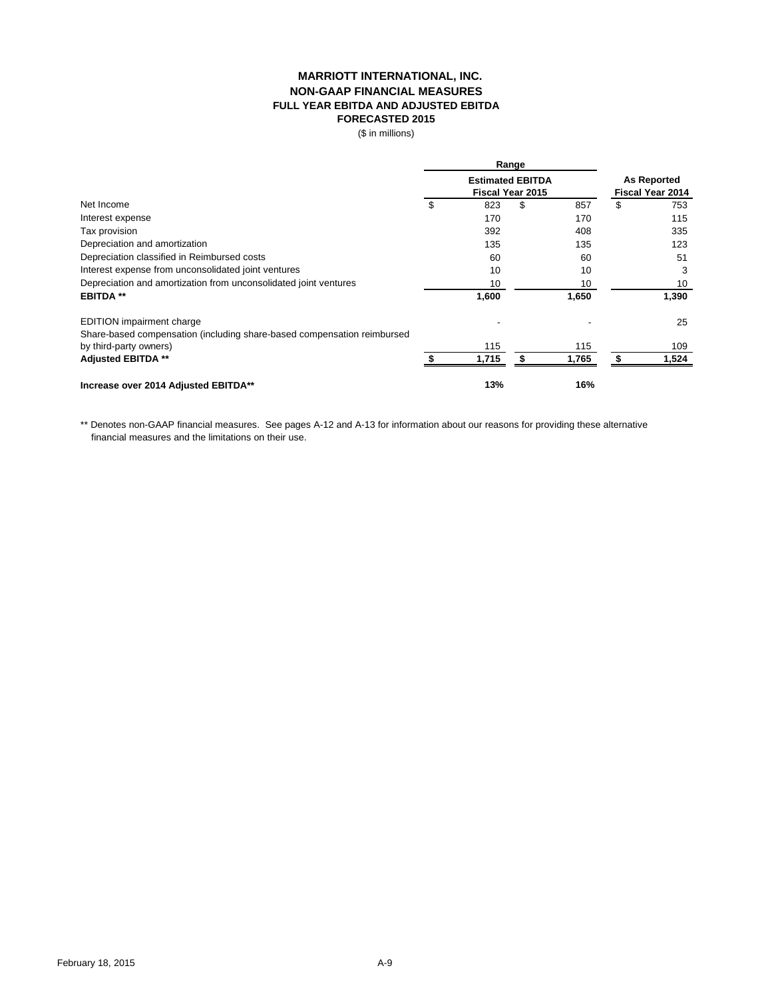## **MARRIOTT INTERNATIONAL, INC. NON-GAAP FINANCIAL MEASURES FULL YEAR EBITDA AND ADJUSTED EBITDA FORECASTED 2015**

(\$ in millions)

|                                                                         | Range |                                                    |    |                                        |    |       |
|-------------------------------------------------------------------------|-------|----------------------------------------------------|----|----------------------------------------|----|-------|
|                                                                         |       | <b>Estimated EBITDA</b><br><b>Fiscal Year 2015</b> |    | <b>As Reported</b><br>Fiscal Year 2014 |    |       |
| Net Income                                                              | \$    | 823                                                | \$ | 857                                    | \$ | 753   |
| Interest expense                                                        |       | 170                                                |    | 170                                    |    | 115   |
| Tax provision                                                           |       | 392                                                |    | 408                                    |    | 335   |
| Depreciation and amortization                                           |       | 135                                                |    | 135                                    |    | 123   |
| Depreciation classified in Reimbursed costs                             |       | 60                                                 |    | 60                                     |    | 51    |
| Interest expense from unconsolidated joint ventures                     |       | 10                                                 |    | 10                                     |    | 3     |
| Depreciation and amortization from unconsolidated joint ventures        |       | 10                                                 |    | 10                                     |    | 10    |
| <b>EBITDA**</b>                                                         |       | 1,600                                              |    | 1,650                                  |    | 1,390 |
| <b>EDITION</b> impairment charge                                        |       |                                                    |    |                                        |    | 25    |
| Share-based compensation (including share-based compensation reimbursed |       |                                                    |    |                                        |    |       |
| by third-party owners)                                                  |       | 115                                                |    | 115                                    |    | 109   |
| <b>Adjusted EBITDA **</b>                                               |       | 1,715                                              |    | 1,765                                  |    | 1,524 |
| Increase over 2014 Adjusted EBITDA**                                    |       | 13%                                                |    | 16%                                    |    |       |

\*\* Denotes non-GAAP financial measures. See pages A-12 and A-13 for information about our reasons for providing these alternative financial measures and the limitations on their use.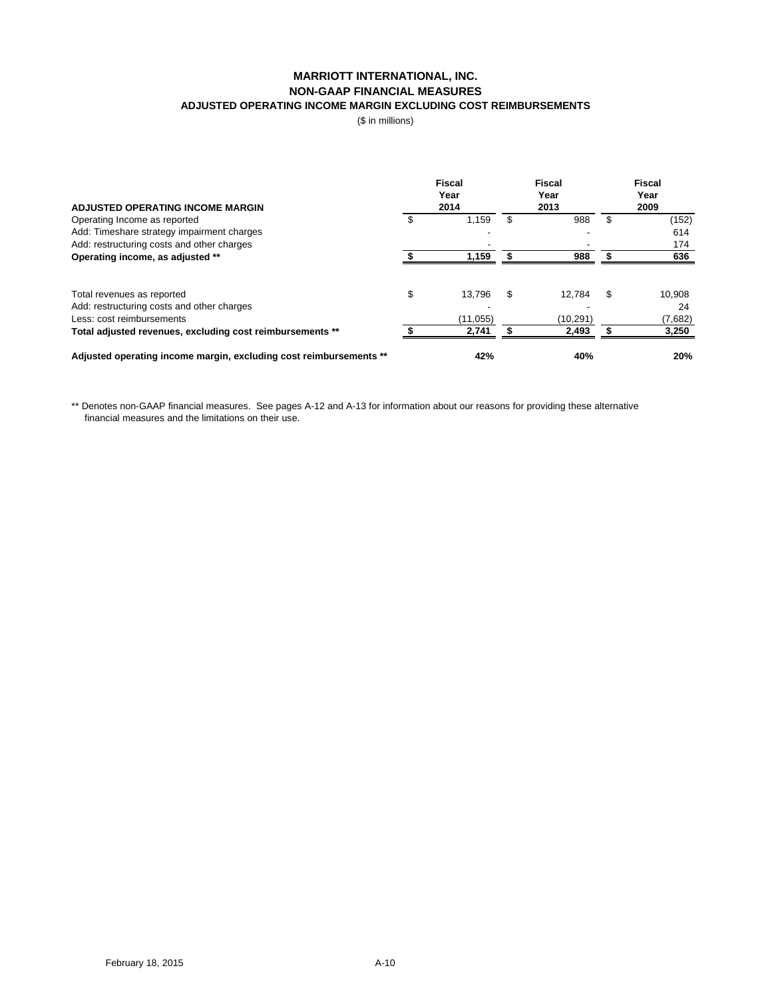# **NON-GAAP FINANCIAL MEASURES ADJUSTED OPERATING INCOME MARGIN EXCLUDING COST REIMBURSEMENTS MARRIOTT INTERNATIONAL, INC.**

(\$ in millions)

| <b>ADJUSTED OPERATING INCOME MARGIN</b>                            |    | <b>Fiscal</b><br>Year<br>2014 | <b>Fiscal</b><br>Year<br>2013 | <b>Fiscal</b><br>Year<br>2009 |         |  |
|--------------------------------------------------------------------|----|-------------------------------|-------------------------------|-------------------------------|---------|--|
| Operating Income as reported                                       |    | 1,159                         | \$<br>988                     | \$                            | (152)   |  |
| Add: Timeshare strategy impairment charges                         |    |                               |                               |                               | 614     |  |
| Add: restructuring costs and other charges                         |    |                               |                               |                               | 174     |  |
| Operating income, as adjusted **                                   |    | 1,159                         | 988                           |                               | 636     |  |
|                                                                    |    |                               |                               |                               |         |  |
| Total revenues as reported                                         | \$ | 13,796                        | \$<br>12,784                  | \$                            | 10,908  |  |
| Add: restructuring costs and other charges                         |    |                               |                               |                               | 24      |  |
| Less: cost reimbursements                                          |    | (11, 055)                     | (10, 291)                     |                               | (7,682) |  |
| Total adjusted revenues, excluding cost reimbursements **          |    | 2,741                         | 2,493                         |                               | 3,250   |  |
| Adjusted operating income margin, excluding cost reimbursements ** |    | 42%                           | 40%                           |                               | 20%     |  |

\*\* Denotes non-GAAP financial measures. See pages A-12 and A-13 for information about our reasons for providing these alternative financial measures and the limitations on their use.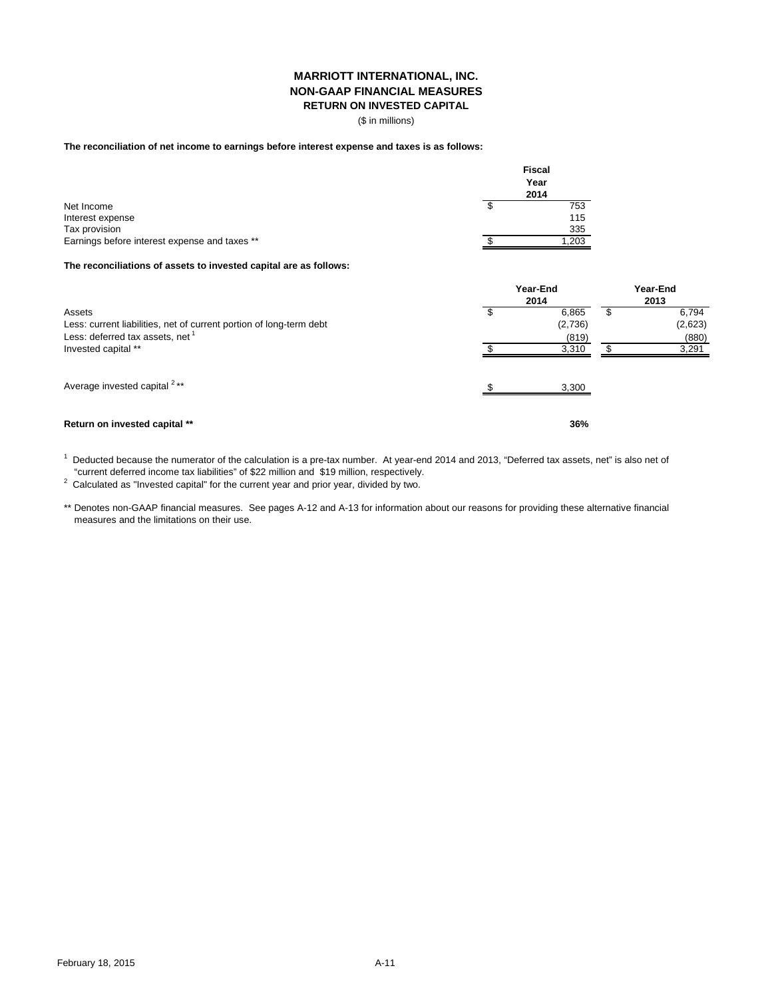# **MARRIOTT INTERNATIONAL, INC. NON-GAAP FINANCIAL MEASURES**

**RETURN ON INVESTED CAPITAL**

(\$ in millions)

### **The reconciliation of net income to earnings before interest expense and taxes is as follows:**

|                                               | <b>Fiscal</b><br>Year<br>2014 |
|-----------------------------------------------|-------------------------------|
| Net Income                                    | 753                           |
| Interest expense                              | 115                           |
| Tax provision                                 | 335                           |
| Earnings before interest expense and taxes ** | 1,203                         |

### **The reconciliations of assets to invested capital are as follows:**

|                                                                                                                              | Year-End<br>2014 | Year-End<br>2013          |  |                           |
|------------------------------------------------------------------------------------------------------------------------------|------------------|---------------------------|--|---------------------------|
| Assets<br>Less: current liabilities, net of current portion of long-term debt<br>Less: deferred tax assets, net <sup>1</sup> |                  | 6,865<br>(2,736)<br>(819) |  | 6,794<br>(2,623)<br>(880) |
| Invested capital **                                                                                                          |                  | 3,310                     |  | 3,291                     |
| Average invested capital <sup>2**</sup>                                                                                      |                  | 3,300                     |  |                           |
| Return on invested capital **                                                                                                |                  | 36%                       |  |                           |

 $^1$  Deducted because the numerator of the calculation is a pre-tax number. At year-end 2014 and 2013, "Deferred tax assets, net" is also net of "current deferred income tax liabilities" of \$22 million and \$19 million, respectively.

 $2$  Calculated as "Invested capital" for the current year and prior year, divided by two.

\*\* Denotes non-GAAP financial measures. See pages A-12 and A-13 for information about our reasons for providing these alternative financial measures and the limitations on their use.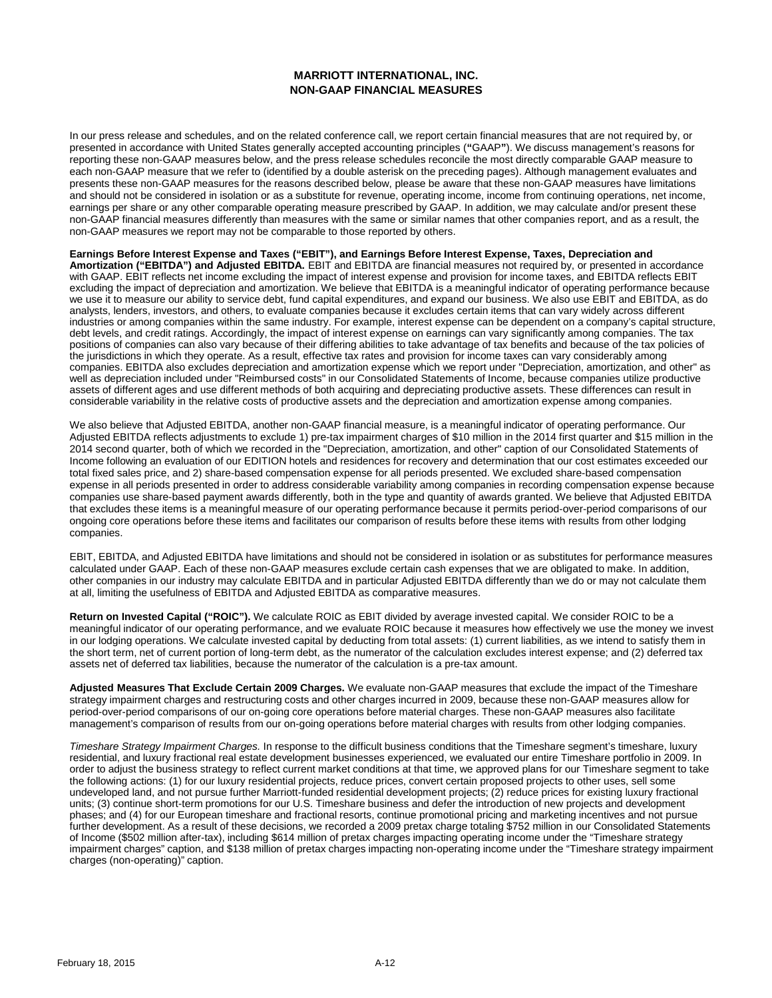## **MARRIOTT INTERNATIONAL, INC. NON-GAAP FINANCIAL MEASURES**

In our press release and schedules, and on the related conference call, we report certain financial measures that are not required by, or presented in accordance with United States generally accepted accounting principles (**"**GAAP**"**). We discuss management's reasons for reporting these non-GAAP measures below, and the press release schedules reconcile the most directly comparable GAAP measure to each non-GAAP measure that we refer to (identified by a double asterisk on the preceding pages). Although management evaluates and presents these non-GAAP measures for the reasons described below, please be aware that these non-GAAP measures have limitations and should not be considered in isolation or as a substitute for revenue, operating income, income from continuing operations, net income, earnings per share or any other comparable operating measure prescribed by GAAP. In addition, we may calculate and/or present these non-GAAP financial measures differently than measures with the same or similar names that other companies report, and as a result, the non-GAAP measures we report may not be comparable to those reported by others.

**Earnings Before Interest Expense and Taxes ("EBIT"), and Earnings Before Interest Expense, Taxes, Depreciation and Amortization ("EBITDA") and Adjusted EBITDA.** EBIT and EBITDA are financial measures not required by, or presented in accordance with GAAP. EBIT reflects net income excluding the impact of interest expense and provision for income taxes, and EBITDA reflects EBIT excluding the impact of depreciation and amortization. We believe that EBITDA is a meaningful indicator of operating performance because we use it to measure our ability to service debt, fund capital expenditures, and expand our business. We also use EBIT and EBITDA, as do analysts, lenders, investors, and others, to evaluate companies because it excludes certain items that can vary widely across different industries or among companies within the same industry. For example, interest expense can be dependent on a company's capital structure, debt levels, and credit ratings. Accordingly, the impact of interest expense on earnings can vary significantly among companies. The tax positions of companies can also vary because of their differing abilities to take advantage of tax benefits and because of the tax policies of the jurisdictions in which they operate. As a result, effective tax rates and provision for income taxes can vary considerably among companies. EBITDA also excludes depreciation and amortization expense which we report under "Depreciation, amortization, and other" as well as depreciation included under "Reimbursed costs" in our Consolidated Statements of Income, because companies utilize productive assets of different ages and use different methods of both acquiring and depreciating productive assets. These differences can result in considerable variability in the relative costs of productive assets and the depreciation and amortization expense among companies.

We also believe that Adjusted EBITDA, another non-GAAP financial measure, is a meaningful indicator of operating performance. Our Adjusted EBITDA reflects adjustments to exclude 1) pre-tax impairment charges of \$10 million in the 2014 first quarter and \$15 million in the 2014 second quarter, both of which we recorded in the "Depreciation, amortization, and other" caption of our Consolidated Statements of Income following an evaluation of our EDITION hotels and residences for recovery and determination that our cost estimates exceeded our total fixed sales price, and 2) share-based compensation expense for all periods presented. We excluded share-based compensation expense in all periods presented in order to address considerable variability among companies in recording compensation expense because companies use share-based payment awards differently, both in the type and quantity of awards granted. We believe that Adjusted EBITDA that excludes these items is a meaningful measure of our operating performance because it permits period-over-period comparisons of our ongoing core operations before these items and facilitates our comparison of results before these items with results from other lodging companies.

EBIT, EBITDA, and Adjusted EBITDA have limitations and should not be considered in isolation or as substitutes for performance measures calculated under GAAP. Each of these non-GAAP measures exclude certain cash expenses that we are obligated to make. In addition, other companies in our industry may calculate EBITDA and in particular Adjusted EBITDA differently than we do or may not calculate them at all, limiting the usefulness of EBITDA and Adjusted EBITDA as comparative measures.

**Return on Invested Capital ("ROIC").** We calculate ROIC as EBIT divided by average invested capital. We consider ROIC to be a meaningful indicator of our operating performance, and we evaluate ROIC because it measures how effectively we use the money we invest in our lodging operations. We calculate invested capital by deducting from total assets: (1) current liabilities, as we intend to satisfy them in the short term, net of current portion of long-term debt, as the numerator of the calculation excludes interest expense; and (2) deferred tax assets net of deferred tax liabilities, because the numerator of the calculation is a pre-tax amount.

**Adjusted Measures That Exclude Certain 2009 Charges.** We evaluate non-GAAP measures that exclude the impact of the Timeshare strategy impairment charges and restructuring costs and other charges incurred in 2009, because these non-GAAP measures allow for period-over-period comparisons of our on-going core operations before material charges. These non-GAAP measures also facilitate management's comparison of results from our on-going operations before material charges with results from other lodging companies.

*Timeshare Strategy Impairment Charges.* In response to the difficult business conditions that the Timeshare segment's timeshare, luxury residential, and luxury fractional real estate development businesses experienced, we evaluated our entire Timeshare portfolio in 2009. In order to adjust the business strategy to reflect current market conditions at that time, we approved plans for our Timeshare segment to take the following actions: (1) for our luxury residential projects, reduce prices, convert certain proposed projects to other uses, sell some undeveloped land, and not pursue further Marriott-funded residential development projects; (2) reduce prices for existing luxury fractional units; (3) continue short-term promotions for our U.S. Timeshare business and defer the introduction of new projects and development phases; and (4) for our European timeshare and fractional resorts, continue promotional pricing and marketing incentives and not pursue further development. As a result of these decisions, we recorded a 2009 pretax charge totaling \$752 million in our Consolidated Statements of Income (\$502 million after-tax), including \$614 million of pretax charges impacting operating income under the "Timeshare strategy impairment charges" caption, and \$138 million of pretax charges impacting non-operating income under the "Timeshare strategy impairment charges (non-operating)" caption.